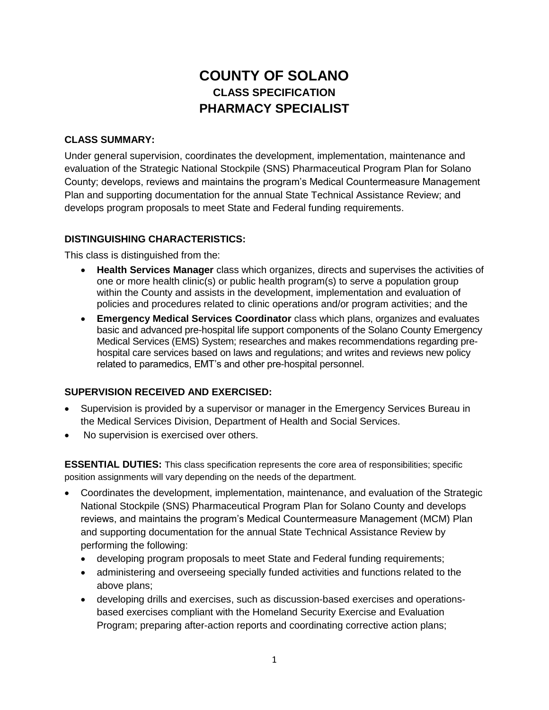# **COUNTY OF SOLANO CLASS SPECIFICATION PHARMACY SPECIALIST**

#### **CLASS SUMMARY:**

Under general supervision, coordinates the development, implementation, maintenance and evaluation of the Strategic National Stockpile (SNS) Pharmaceutical Program Plan for Solano County; develops, reviews and maintains the program's Medical Countermeasure Management Plan and supporting documentation for the annual State Technical Assistance Review; and develops program proposals to meet State and Federal funding requirements.

## **DISTINGUISHING CHARACTERISTICS:**

This class is distinguished from the:

- **Health Services Manager** class which organizes, directs and supervises the activities of one or more health clinic(s) or public health program(s) to serve a population group within the County and assists in the development, implementation and evaluation of policies and procedures related to clinic operations and/or program activities; and the
- **Emergency Medical Services Coordinator** class which plans, organizes and evaluates basic and advanced pre-hospital life support components of the Solano County Emergency Medical Services (EMS) System; researches and makes recommendations regarding prehospital care services based on laws and regulations; and writes and reviews new policy related to paramedics, EMT's and other pre-hospital personnel.

## **SUPERVISION RECEIVED AND EXERCISED:**

- Supervision is provided by a supervisor or manager in the Emergency Services Bureau in the Medical Services Division, Department of Health and Social Services.
- No supervision is exercised over others.

**ESSENTIAL DUTIES:** This class specification represents the core area of responsibilities; specific position assignments will vary depending on the needs of the department.

- Coordinates the development, implementation, maintenance, and evaluation of the Strategic National Stockpile (SNS) Pharmaceutical Program Plan for Solano County and develops reviews, and maintains the program's Medical Countermeasure Management (MCM) Plan and supporting documentation for the annual State Technical Assistance Review by performing the following:
	- developing program proposals to meet State and Federal funding requirements;
	- administering and overseeing specially funded activities and functions related to the above plans;
	- developing drills and exercises, such as discussion-based exercises and operationsbased exercises compliant with the Homeland Security Exercise and Evaluation Program; preparing after-action reports and coordinating corrective action plans;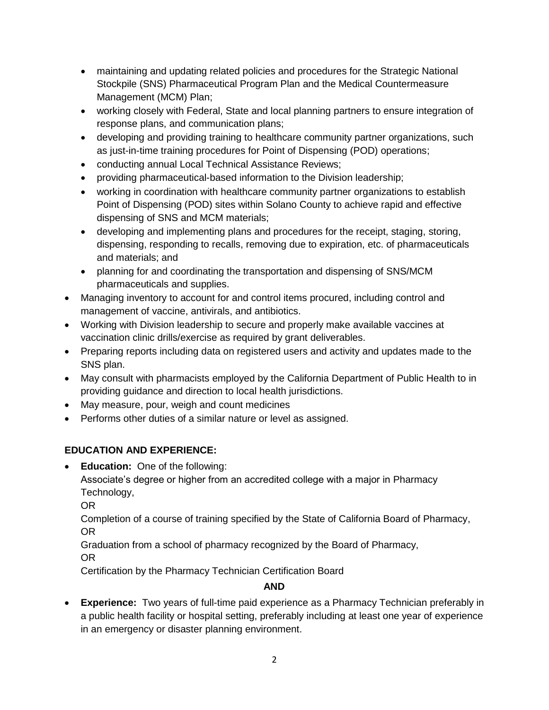- maintaining and updating related policies and procedures for the Strategic National Stockpile (SNS) Pharmaceutical Program Plan and the Medical Countermeasure Management (MCM) Plan;
- working closely with Federal, State and local planning partners to ensure integration of response plans, and communication plans;
- developing and providing training to healthcare community partner organizations, such as just-in-time training procedures for Point of Dispensing (POD) operations;
- conducting annual Local Technical Assistance Reviews;
- providing pharmaceutical-based information to the Division leadership;
- working in coordination with healthcare community partner organizations to establish Point of Dispensing (POD) sites within Solano County to achieve rapid and effective dispensing of SNS and MCM materials;
- developing and implementing plans and procedures for the receipt, staging, storing, dispensing, responding to recalls, removing due to expiration, etc. of pharmaceuticals and materials; and
- planning for and coordinating the transportation and dispensing of SNS/MCM pharmaceuticals and supplies.
- Managing inventory to account for and control items procured, including control and management of vaccine, antivirals, and antibiotics.
- Working with Division leadership to secure and properly make available vaccines at vaccination clinic drills/exercise as required by grant deliverables.
- Preparing reports including data on registered users and activity and updates made to the SNS plan.
- May consult with pharmacists employed by the California Department of Public Health to in providing guidance and direction to local health jurisdictions.
- May measure, pour, weigh and count medicines
- Performs other duties of a similar nature or level as assigned.

# **EDUCATION AND EXPERIENCE:**

 **Education:** One of the following: Associate's degree or higher from an accredited college with a major in Pharmacy Technology,

OR

Completion of a course of training specified by the State of California Board of Pharmacy, OR

Graduation from a school of pharmacy recognized by the Board of Pharmacy,

OR

Certification by the Pharmacy Technician Certification Board

# **AND**

 **Experience:** Two years of full-time paid experience as a Pharmacy Technician preferably in a public health facility or hospital setting, preferably including at least one year of experience in an emergency or disaster planning environment.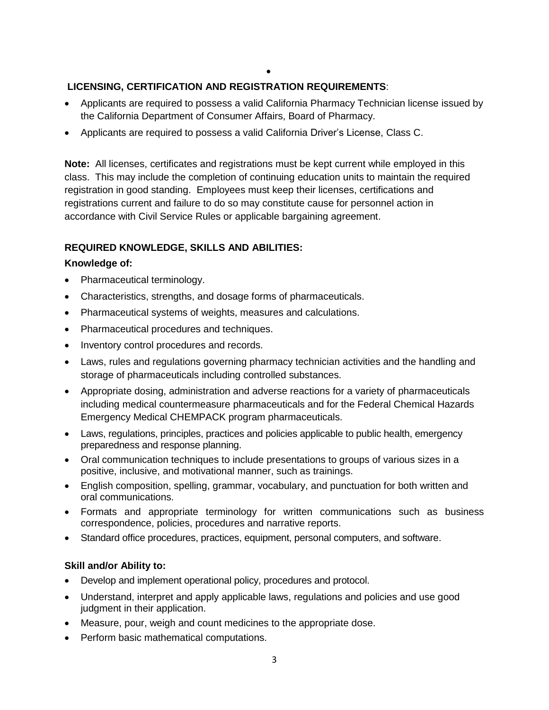$\bullet$ 

## **LICENSING, CERTIFICATION AND REGISTRATION REQUIREMENTS**:

- Applicants are required to possess a valid California Pharmacy Technician license issued by the California Department of Consumer Affairs, Board of Pharmacy.
- Applicants are required to possess a valid California Driver's License, Class C.

**Note:** All licenses, certificates and registrations must be kept current while employed in this class. This may include the completion of continuing education units to maintain the required registration in good standing. Employees must keep their licenses, certifications and registrations current and failure to do so may constitute cause for personnel action in accordance with Civil Service Rules or applicable bargaining agreement.

## **REQUIRED KNOWLEDGE, SKILLS AND ABILITIES:**

#### **Knowledge of:**

- Pharmaceutical terminology.
- Characteristics, strengths, and dosage forms of pharmaceuticals.
- Pharmaceutical systems of weights, measures and calculations.
- Pharmaceutical procedures and techniques.
- Inventory control procedures and records.
- Laws, rules and regulations governing pharmacy technician activities and the handling and storage of pharmaceuticals including controlled substances.
- Appropriate dosing, administration and adverse reactions for a variety of pharmaceuticals including medical countermeasure pharmaceuticals and for the Federal Chemical Hazards Emergency Medical CHEMPACK program pharmaceuticals.
- Laws, regulations, principles, practices and policies applicable to public health, emergency preparedness and response planning.
- Oral communication techniques to include presentations to groups of various sizes in a positive, inclusive, and motivational manner, such as trainings.
- English composition, spelling, grammar, vocabulary, and punctuation for both written and oral communications.
- Formats and appropriate terminology for written communications such as business correspondence, policies, procedures and narrative reports.
- Standard office procedures, practices, equipment, personal computers, and software.

## **Skill and/or Ability to:**

- Develop and implement operational policy, procedures and protocol.
- Understand, interpret and apply applicable laws, regulations and policies and use good judgment in their application.
- Measure, pour, weigh and count medicines to the appropriate dose.
- Perform basic mathematical computations.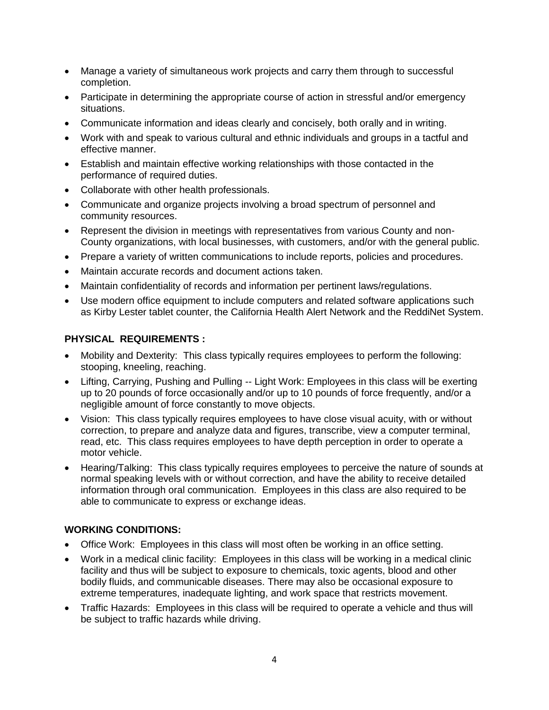- Manage a variety of simultaneous work projects and carry them through to successful completion.
- Participate in determining the appropriate course of action in stressful and/or emergency situations.
- Communicate information and ideas clearly and concisely, both orally and in writing.
- Work with and speak to various cultural and ethnic individuals and groups in a tactful and effective manner.
- Establish and maintain effective working relationships with those contacted in the performance of required duties.
- Collaborate with other health professionals.
- Communicate and organize projects involving a broad spectrum of personnel and community resources.
- Represent the division in meetings with representatives from various County and non-County organizations, with local businesses, with customers, and/or with the general public.
- Prepare a variety of written communications to include reports, policies and procedures.
- Maintain accurate records and document actions taken.
- Maintain confidentiality of records and information per pertinent laws/regulations.
- Use modern office equipment to include computers and related software applications such as Kirby Lester tablet counter, the California Health Alert Network and the ReddiNet System.

#### **PHYSICAL REQUIREMENTS :**

- Mobility and Dexterity: This class typically requires employees to perform the following: stooping, kneeling, reaching.
- Lifting, Carrying, Pushing and Pulling -- Light Work: Employees in this class will be exerting up to 20 pounds of force occasionally and/or up to 10 pounds of force frequently, and/or a negligible amount of force constantly to move objects.
- Vision: This class typically requires employees to have close visual acuity, with or without correction, to prepare and analyze data and figures, transcribe, view a computer terminal, read, etc. This class requires employees to have depth perception in order to operate a motor vehicle.
- Hearing/Talking: This class typically requires employees to perceive the nature of sounds at normal speaking levels with or without correction, and have the ability to receive detailed information through oral communication. Employees in this class are also required to be able to communicate to express or exchange ideas.

#### **WORKING CONDITIONS:**

- Office Work: Employees in this class will most often be working in an office setting.
- Work in a medical clinic facility: Employees in this class will be working in a medical clinic facility and thus will be subject to exposure to chemicals, toxic agents, blood and other bodily fluids, and communicable diseases. There may also be occasional exposure to extreme temperatures, inadequate lighting, and work space that restricts movement.
- Traffic Hazards: Employees in this class will be required to operate a vehicle and thus will be subject to traffic hazards while driving.